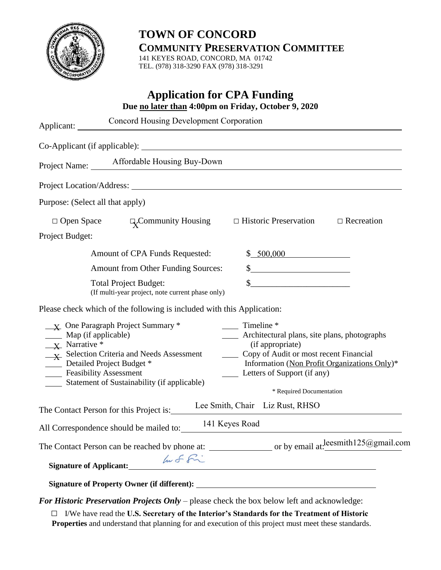

# **TOWN OF CONCORD COMMUNITY PRESERVATION COMMITTEE**

141 KEYES ROAD, CONCORD, MA 01742 TEL. (978) 318-3290 FAX (978) 318-3291

| <b>Application for CPA Funding</b><br>Due no later than 4:00pm on Friday, October 9, 2020                                                                                                                                                                                                                             |                                                                                                                                                                                                                                                                                              |                                                                                                                                                                                                                                                                |  |
|-----------------------------------------------------------------------------------------------------------------------------------------------------------------------------------------------------------------------------------------------------------------------------------------------------------------------|----------------------------------------------------------------------------------------------------------------------------------------------------------------------------------------------------------------------------------------------------------------------------------------------|----------------------------------------------------------------------------------------------------------------------------------------------------------------------------------------------------------------------------------------------------------------|--|
| Applicant:                                                                                                                                                                                                                                                                                                            | <b>Concord Housing Development Corporation</b>                                                                                                                                                                                                                                               |                                                                                                                                                                                                                                                                |  |
|                                                                                                                                                                                                                                                                                                                       |                                                                                                                                                                                                                                                                                              |                                                                                                                                                                                                                                                                |  |
|                                                                                                                                                                                                                                                                                                                       | Project Name: _____ Affordable Housing Buy-Down                                                                                                                                                                                                                                              |                                                                                                                                                                                                                                                                |  |
|                                                                                                                                                                                                                                                                                                                       |                                                                                                                                                                                                                                                                                              |                                                                                                                                                                                                                                                                |  |
| Purpose: (Select all that apply)                                                                                                                                                                                                                                                                                      |                                                                                                                                                                                                                                                                                              |                                                                                                                                                                                                                                                                |  |
|                                                                                                                                                                                                                                                                                                                       | $\Box$ Open Space $\Box$ Community Housing $\Box$ Historic Preservation                                                                                                                                                                                                                      | $\Box$ Recreation                                                                                                                                                                                                                                              |  |
| Project Budget:                                                                                                                                                                                                                                                                                                       |                                                                                                                                                                                                                                                                                              |                                                                                                                                                                                                                                                                |  |
|                                                                                                                                                                                                                                                                                                                       | Amount of CPA Funds Requested:                                                                                                                                                                                                                                                               | \$ 500,000                                                                                                                                                                                                                                                     |  |
|                                                                                                                                                                                                                                                                                                                       | <b>Amount from Other Funding Sources:</b>                                                                                                                                                                                                                                                    | $\frac{1}{2}$                                                                                                                                                                                                                                                  |  |
|                                                                                                                                                                                                                                                                                                                       | <b>Total Project Budget:</b><br>(If multi-year project, note current phase only)                                                                                                                                                                                                             | $\begin{array}{c c c c c} \hline \textbf{S} & \textbf{S} & \textbf{S} & \textbf{S} & \textbf{S} & \textbf{S} \\ \hline \end{array}$                                                                                                                            |  |
|                                                                                                                                                                                                                                                                                                                       | Please check which of the following is included with this Application:                                                                                                                                                                                                                       |                                                                                                                                                                                                                                                                |  |
| $\frac{1}{1}$ One Paragraph Project Summary *<br>Map (if applicable)<br>$\overline{X}$ Narrative *<br>$\frac{1}{1}$ Selection Criteria and Needs Assessment<br>Detailed Project Budget *<br>$\frac{1}{2}$ and $\frac{1}{2}$<br><b>Example 1</b> Feasibility Assessment<br>Statement of Sustainability (if applicable) |                                                                                                                                                                                                                                                                                              | $\frac{1}{\sqrt{1}}$ Timeline *<br>_____ Architectural plans, site plans, photographs<br>(if appropriate)<br>Copy of Audit or most recent Financial<br>Information (Non Profit Organizations Only)*<br>Letters of Support (if any)<br>* Required Documentation |  |
|                                                                                                                                                                                                                                                                                                                       | The Contact Person for this Project is:                                                                                                                                                                                                                                                      | Lee Smith, Chair Liz Rust, RHSO                                                                                                                                                                                                                                |  |
|                                                                                                                                                                                                                                                                                                                       | All Correspondence should be mailed to:                                                                                                                                                                                                                                                      | 141 Keyes Road                                                                                                                                                                                                                                                 |  |
|                                                                                                                                                                                                                                                                                                                       |                                                                                                                                                                                                                                                                                              |                                                                                                                                                                                                                                                                |  |
| <b>Signature of Applicant:</b>                                                                                                                                                                                                                                                                                        | huf fi                                                                                                                                                                                                                                                                                       |                                                                                                                                                                                                                                                                |  |
|                                                                                                                                                                                                                                                                                                                       |                                                                                                                                                                                                                                                                                              |                                                                                                                                                                                                                                                                |  |
|                                                                                                                                                                                                                                                                                                                       | $\mathcal{L}$ <b>n</b> $\mathcal{L}$ and in the set of $\mathbf{A}$ and in the set of $\mathbf{A}$ and $\mathbf{A}$ and in the set of $\mathbf{A}$ and $\mathbf{A}$ and $\mathbf{A}$ and $\mathbf{A}$ and $\mathbf{A}$ and $\mathbf{A}$ and $\mathbf{A}$ and $\mathbf{A}$ and $\mathbf{A}$ a |                                                                                                                                                                                                                                                                |  |

*For Historic Preservation Projects Only* – please check the box below left and acknowledge:

□ I/We have read the **U.S. Secretary of the Interior's Standards for the Treatment of Historic Properties** and understand that planning for and execution of this project must meet these standards.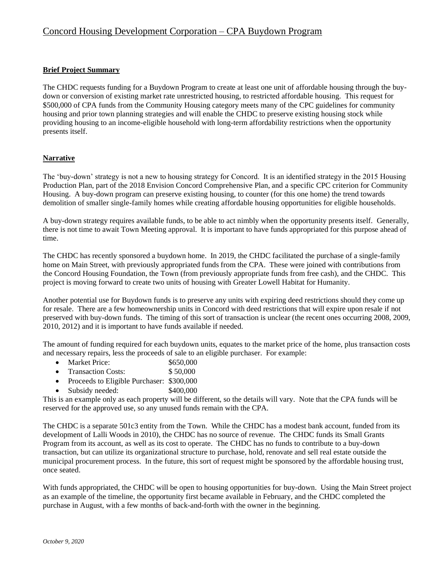### **Brief Project Summary**

The CHDC requests funding for a Buydown Program to create at least one unit of affordable housing through the buydown or conversion of existing market rate unrestricted housing, to restricted affordable housing. This request for \$500,000 of CPA funds from the Community Housing category meets many of the CPC guidelines for community housing and prior town planning strategies and will enable the CHDC to preserve existing housing stock while providing housing to an income-eligible household with long-term affordability restrictions when the opportunity presents itself.

### **Narrative**

The 'buy-down' strategy is not a new to housing strategy for Concord. It is an identified strategy in the 2015 Housing Production Plan, part of the 2018 Envision Concord Comprehensive Plan, and a specific CPC criterion for Community Housing. A buy-down program can preserve existing housing, to counter (for this one home) the trend towards demolition of smaller single-family homes while creating affordable housing opportunities for eligible households.

A buy-down strategy requires available funds, to be able to act nimbly when the opportunity presents itself. Generally, there is not time to await Town Meeting approval. It is important to have funds appropriated for this purpose ahead of time.

The CHDC has recently sponsored a buydown home. In 2019, the CHDC facilitated the purchase of a single-family home on Main Street, with previously appropriated funds from the CPA. These were joined with contributions from the Concord Housing Foundation, the Town (from previously appropriate funds from free cash), and the CHDC. This project is moving forward to create two units of housing with Greater Lowell Habitat for Humanity.

Another potential use for Buydown funds is to preserve any units with expiring deed restrictions should they come up for resale. There are a few homeownership units in Concord with deed restrictions that will expire upon resale if not preserved with buy-down funds. The timing of this sort of transaction is unclear (the recent ones occurring 2008, 2009, 2010, 2012) and it is important to have funds available if needed.

The amount of funding required for each buydown units, equates to the market price of the home, plus transaction costs and necessary repairs, less the proceeds of sale to an eligible purchaser. For example:

- Market Price: \$650,000
- Transaction Costs: \$ 50,000
- Proceeds to Eligible Purchaser: \$300,000
- Subsidy needed:  $$400,000$

This is an example only as each property will be different, so the details will vary. Note that the CPA funds will be reserved for the approved use, so any unused funds remain with the CPA.

The CHDC is a separate 501c3 entity from the Town. While the CHDC has a modest bank account, funded from its development of Lalli Woods in 2010), the CHDC has no source of revenue. The CHDC funds its Small Grants Program from its account, as well as its cost to operate. The CHDC has no funds to contribute to a buy-down transaction, but can utilize its organizational structure to purchase, hold, renovate and sell real estate outside the municipal procurement process. In the future, this sort of request might be sponsored by the affordable housing trust, once seated.

With funds appropriated, the CHDC will be open to housing opportunities for buy-down. Using the Main Street project as an example of the timeline, the opportunity first became available in February, and the CHDC completed the purchase in August, with a few months of back-and-forth with the owner in the beginning.